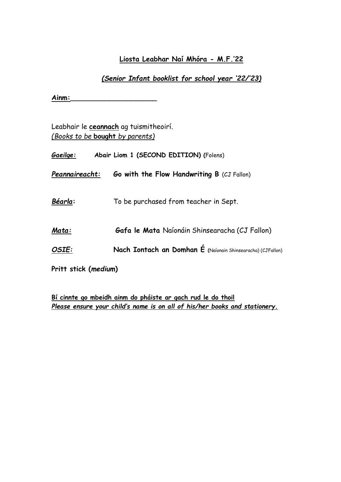## **Liosta Leabhar Naí Mhóra - M.F.'22**

## *(Senior Infant booklist for school year '22/'23)*

**Ainm:**\_\_\_\_\_\_\_\_\_\_\_\_\_\_\_\_\_\_\_\_

Leabhair le **ceannach** ag tuismitheoirí. *(Books to be* **bought** *by parents)*

| <u>Gaei</u> lge: | Abair Liom 1 (SECOND EDITION) (Folens)                      |
|------------------|-------------------------------------------------------------|
| Peannaireacht:   | <b>Go with the Flow Handwriting B (CJ Fallon)</b>           |
| Béarla:          | To be purchased from teacher in Sept.                       |
| Mata:            | Gafa le Mata Naíonáin Shinsearacha (CJ Fallon)              |
| OSIE:            | Nach Iontach an Domhan É (Naíonain Shinsearacha) (CJFallon) |
|                  |                                                             |

**Pritt stick (***medium***)**

**Bí cinnte go mbeidh ainm do pháiste ar gach rud le do thoil** *Please ensure your child's name is on all of his/her books and stationery.*